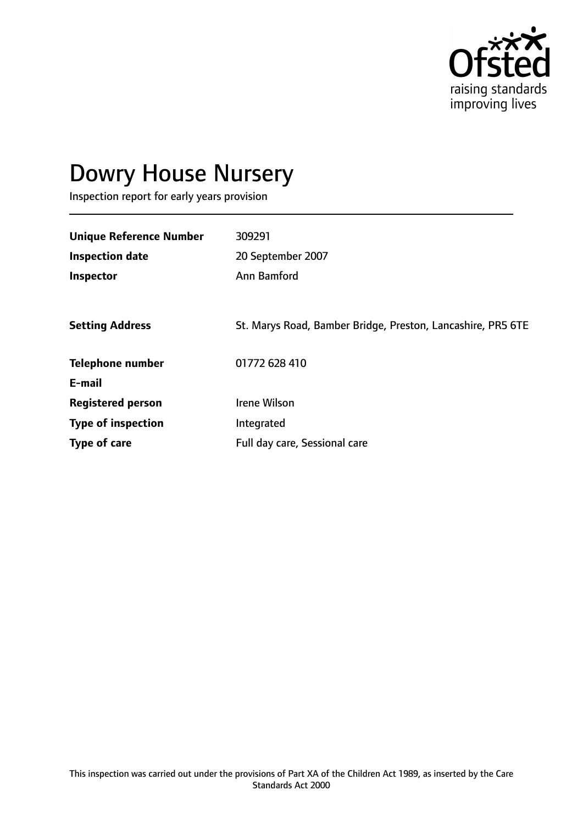

# Dowry House Nursery

Inspection report for early years provision

| <b>Unique Reference Number</b> | 309291                                                      |
|--------------------------------|-------------------------------------------------------------|
| <b>Inspection date</b>         | 20 September 2007                                           |
| Inspector                      | Ann Bamford                                                 |
|                                |                                                             |
| <b>Setting Address</b>         | St. Marys Road, Bamber Bridge, Preston, Lancashire, PR5 6TE |
| <b>Telephone number</b>        | 01772 628 410                                               |
| E-mail                         |                                                             |
| <b>Registered person</b>       | Irene Wilson                                                |
| <b>Type of inspection</b>      | Integrated                                                  |
| <b>Type of care</b>            | Full day care, Sessional care                               |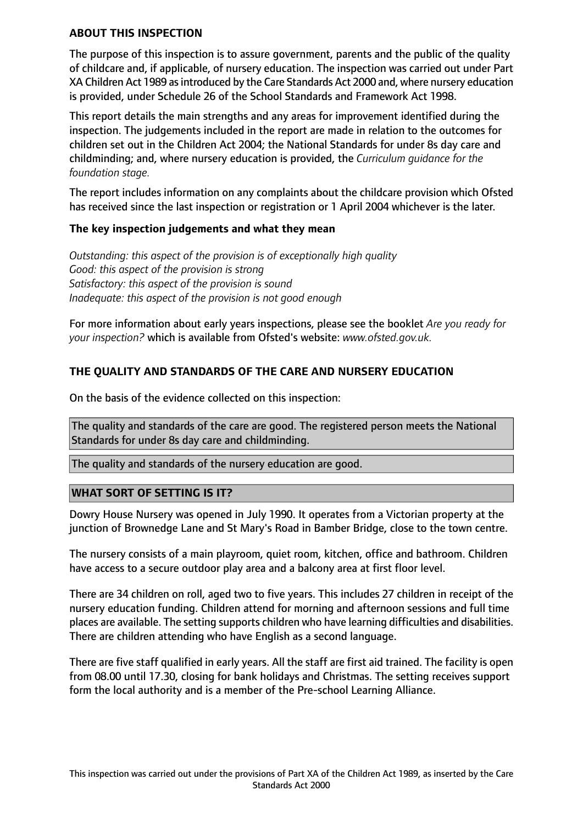#### **ABOUT THIS INSPECTION**

The purpose of this inspection is to assure government, parents and the public of the quality of childcare and, if applicable, of nursery education. The inspection was carried out under Part XA Children Act 1989 as introduced by the Care Standards Act 2000 and, where nursery education is provided, under Schedule 26 of the School Standards and Framework Act 1998.

This report details the main strengths and any areas for improvement identified during the inspection. The judgements included in the report are made in relation to the outcomes for children set out in the Children Act 2004; the National Standards for under 8s day care and childminding; and, where nursery education is provided, the *Curriculum guidance for the foundation stage.*

The report includes information on any complaints about the childcare provision which Ofsted has received since the last inspection or registration or 1 April 2004 whichever is the later.

#### **The key inspection judgements and what they mean**

*Outstanding: this aspect of the provision is of exceptionally high quality Good: this aspect of the provision is strong Satisfactory: this aspect of the provision is sound Inadequate: this aspect of the provision is not good enough*

For more information about early years inspections, please see the booklet *Are you ready for your inspection?* which is available from Ofsted's website: *www.ofsted.gov.uk.*

## **THE QUALITY AND STANDARDS OF THE CARE AND NURSERY EDUCATION**

On the basis of the evidence collected on this inspection:

The quality and standards of the care are good. The registered person meets the National Standards for under 8s day care and childminding.

The quality and standards of the nursery education are good.

#### **WHAT SORT OF SETTING IS IT?**

Dowry House Nursery was opened in July 1990. It operates from a Victorian property at the junction of Brownedge Lane and St Mary's Road in Bamber Bridge, close to the town centre.

The nursery consists of a main playroom, quiet room, kitchen, office and bathroom. Children have access to a secure outdoor play area and a balcony area at first floor level.

There are 34 children on roll, aged two to five years. This includes 27 children in receipt of the nursery education funding. Children attend for morning and afternoon sessions and full time places are available. The setting supports children who have learning difficulties and disabilities. There are children attending who have English as a second language.

There are five staff qualified in early years. All the staff are first aid trained. The facility is open from 08.00 until 17.30, closing for bank holidays and Christmas. The setting receives support form the local authority and is a member of the Pre-school Learning Alliance.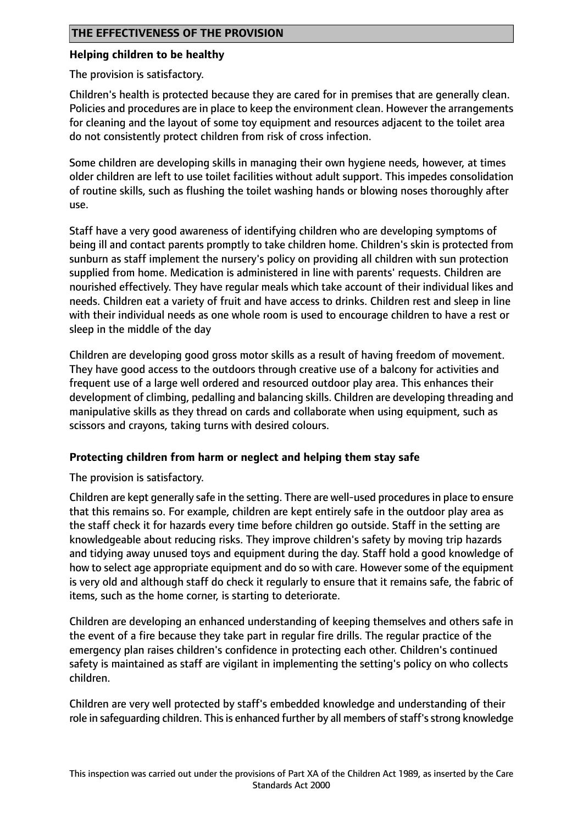## **Helping children to be healthy**

The provision is satisfactory.

Children's health is protected because they are cared for in premises that are generally clean. Policies and procedures are in place to keep the environment clean. However the arrangements for cleaning and the layout of some toy equipment and resources adjacent to the toilet area do not consistently protect children from risk of cross infection.

Some children are developing skills in managing their own hygiene needs, however, at times older children are left to use toilet facilities without adult support. This impedes consolidation of routine skills, such as flushing the toilet washing hands or blowing noses thoroughly after use.

Staff have a very good awareness of identifying children who are developing symptoms of being ill and contact parents promptly to take children home. Children's skin is protected from sunburn as staff implement the nursery's policy on providing all children with sun protection supplied from home. Medication is administered in line with parents' requests. Children are nourished effectively. They have regular meals which take account of their individual likes and needs. Children eat a variety of fruit and have access to drinks. Children rest and sleep in line with their individual needs as one whole room is used to encourage children to have a rest or sleep in the middle of the day

Children are developing good gross motor skills as a result of having freedom of movement. They have good access to the outdoors through creative use of a balcony for activities and frequent use of a large well ordered and resourced outdoor play area. This enhances their development of climbing, pedalling and balancing skills. Children are developing threading and manipulative skills as they thread on cards and collaborate when using equipment, such as scissors and crayons, taking turns with desired colours.

# **Protecting children from harm or neglect and helping them stay safe**

The provision is satisfactory.

Children are kept generally safe in the setting. There are well-used proceduresin place to ensure that this remains so. For example, children are kept entirely safe in the outdoor play area as the staff check it for hazards every time before children go outside. Staff in the setting are knowledgeable about reducing risks. They improve children's safety by moving trip hazards and tidying away unused toys and equipment during the day. Staff hold a good knowledge of how to select age appropriate equipment and do so with care. However some of the equipment is very old and although staff do check it regularly to ensure that it remains safe, the fabric of items, such as the home corner, is starting to deteriorate.

Children are developing an enhanced understanding of keeping themselves and others safe in the event of a fire because they take part in regular fire drills. The regular practice of the emergency plan raises children's confidence in protecting each other. Children's continued safety is maintained as staff are vigilant in implementing the setting's policy on who collects children.

Children are very well protected by staff's embedded knowledge and understanding of their role in safequarding children. This is enhanced further by all members of staff's strong knowledge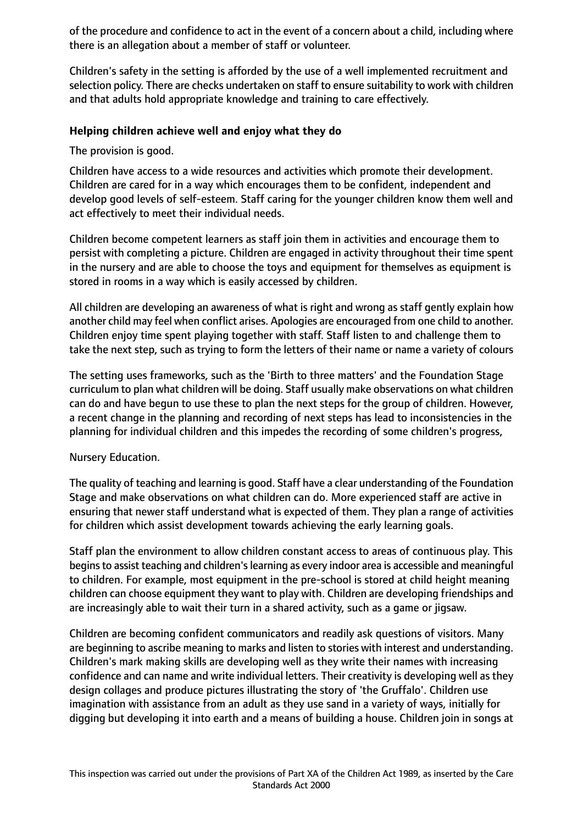of the procedure and confidence to act in the event of a concern about a child, including where there is an allegation about a member of staff or volunteer.

Children's safety in the setting is afforded by the use of a well implemented recruitment and selection policy. There are checks undertaken on staff to ensure suitability to work with children and that adults hold appropriate knowledge and training to care effectively.

#### **Helping children achieve well and enjoy what they do**

The provision is good.

Children have access to a wide resources and activities which promote their development. Children are cared for in a way which encourages them to be confident, independent and develop good levels of self-esteem. Staff caring for the younger children know them well and act effectively to meet their individual needs.

Children become competent learners as staff join them in activities and encourage them to persist with completing a picture. Children are engaged in activity throughout their time spent in the nursery and are able to choose the toys and equipment for themselves as equipment is stored in rooms in a way which is easily accessed by children.

All children are developing an awareness of what is right and wrong as staff gently explain how another child may feel when conflict arises. Apologies are encouraged from one child to another. Children enjoy time spent playing together with staff. Staff listen to and challenge them to take the next step, such as trying to form the letters of their name or name a variety of colours

The setting uses frameworks, such as the 'Birth to three matters' and the Foundation Stage curriculum to plan what children will be doing. Staff usually make observations on what children can do and have begun to use these to plan the next steps for the group of children. However, a recent change in the planning and recording of next steps has lead to inconsistencies in the planning for individual children and this impedes the recording of some children's progress,

#### Nursery Education.

The quality of teaching and learning is good. Staff have a clear understanding of the Foundation Stage and make observations on what children can do. More experienced staff are active in ensuring that newer staff understand what is expected of them. They plan a range of activities for children which assist development towards achieving the early learning goals.

Staff plan the environment to allow children constant access to areas of continuous play. This begins to assist teaching and children's learning as every indoor area is accessible and meaningful to children. For example, most equipment in the pre-school is stored at child height meaning children can choose equipment they want to play with. Children are developing friendships and are increasingly able to wait their turn in a shared activity, such as a game or jigsaw.

Children are becoming confident communicators and readily ask questions of visitors. Many are beginning to ascribe meaning to marks and listen to stories with interest and understanding. Children's mark making skills are developing well as they write their names with increasing confidence and can name and write individual letters. Their creativity is developing well as they design collages and produce pictures illustrating the story of 'the Gruffalo'. Children use imagination with assistance from an adult as they use sand in a variety of ways, initially for digging but developing it into earth and a means of building a house. Children join in songs at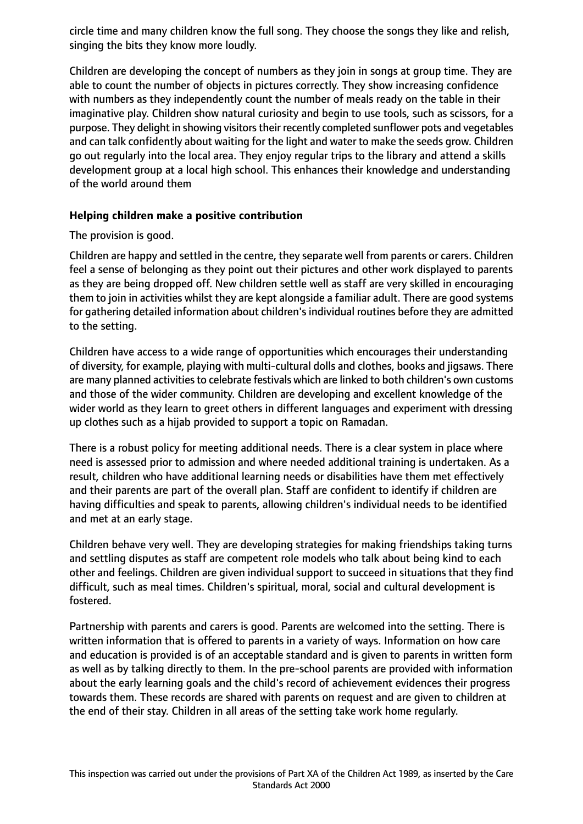circle time and many children know the full song. They choose the songs they like and relish, singing the bits they know more loudly.

Children are developing the concept of numbers as they join in songs at group time. They are able to count the number of objects in pictures correctly. They show increasing confidence with numbers as they independently count the number of meals ready on the table in their imaginative play. Children show natural curiosity and begin to use tools, such as scissors, for a purpose. They delight in showing visitors their recently completed sunflower pots and vegetables and can talk confidently about waiting for the light and water to make the seeds grow. Children go out regularly into the local area. They enjoy regular trips to the library and attend a skills development group at a local high school. This enhances their knowledge and understanding of the world around them

#### **Helping children make a positive contribution**

## The provision is good.

Children are happy and settled in the centre, they separate well from parents or carers. Children feel a sense of belonging as they point out their pictures and other work displayed to parents as they are being dropped off. New children settle well as staff are very skilled in encouraging them to join in activities whilst they are kept alongside a familiar adult. There are good systems for gathering detailed information about children's individual routines before they are admitted to the setting.

Children have access to a wide range of opportunities which encourages their understanding of diversity, for example, playing with multi-cultural dolls and clothes, books and jigsaws. There are many planned activities to celebrate festivals which are linked to both children's own customs and those of the wider community. Children are developing and excellent knowledge of the wider world as they learn to greet others in different languages and experiment with dressing up clothes such as a hijab provided to support a topic on Ramadan.

There is a robust policy for meeting additional needs. There is a clear system in place where need is assessed prior to admission and where needed additional training is undertaken. As a result, children who have additional learning needs or disabilities have them met effectively and their parents are part of the overall plan. Staff are confident to identify if children are having difficulties and speak to parents, allowing children's individual needs to be identified and met at an early stage.

Children behave very well. They are developing strategies for making friendships taking turns and settling disputes as staff are competent role models who talk about being kind to each other and feelings. Children are given individual support to succeed in situations that they find difficult, such as meal times. Children's spiritual, moral, social and cultural development is fostered.

Partnership with parents and carers is good. Parents are welcomed into the setting. There is written information that is offered to parents in a variety of ways. Information on how care and education is provided is of an acceptable standard and is given to parents in written form as well as by talking directly to them. In the pre-school parents are provided with information about the early learning goals and the child's record of achievement evidences their progress towards them. These records are shared with parents on request and are given to children at the end of their stay. Children in all areas of the setting take work home regularly.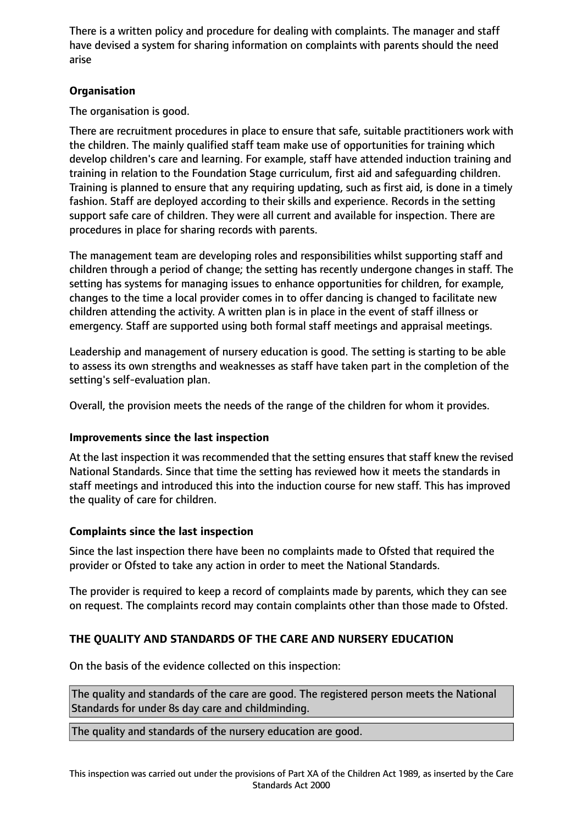There is a written policy and procedure for dealing with complaints. The manager and staff have devised a system for sharing information on complaints with parents should the need arise

## **Organisation**

The organisation is good.

There are recruitment procedures in place to ensure that safe, suitable practitioners work with the children. The mainly qualified staff team make use of opportunities for training which develop children's care and learning. For example, staff have attended induction training and training in relation to the Foundation Stage curriculum, first aid and safeguarding children. Training is planned to ensure that any requiring updating, such as first aid, is done in a timely fashion. Staff are deployed according to their skills and experience. Records in the setting support safe care of children. They were all current and available for inspection. There are procedures in place for sharing records with parents.

The management team are developing roles and responsibilities whilst supporting staff and children through a period of change; the setting has recently undergone changes in staff. The setting has systems for managing issues to enhance opportunities for children, for example, changes to the time a local provider comes in to offer dancing is changed to facilitate new children attending the activity. A written plan is in place in the event of staff illness or emergency. Staff are supported using both formal staff meetings and appraisal meetings.

Leadership and management of nursery education is good. The setting is starting to be able to assess its own strengths and weaknesses as staff have taken part in the completion of the setting's self-evaluation plan.

Overall, the provision meets the needs of the range of the children for whom it provides.

#### **Improvements since the last inspection**

At the last inspection it was recommended that the setting ensures that staff knew the revised National Standards. Since that time the setting has reviewed how it meets the standards in staff meetings and introduced this into the induction course for new staff. This has improved the quality of care for children.

# **Complaints since the last inspection**

Since the last inspection there have been no complaints made to Ofsted that required the provider or Ofsted to take any action in order to meet the National Standards.

The provider is required to keep a record of complaints made by parents, which they can see on request. The complaints record may contain complaints other than those made to Ofsted.

# **THE QUALITY AND STANDARDS OF THE CARE AND NURSERY EDUCATION**

On the basis of the evidence collected on this inspection:

The quality and standards of the care are good. The registered person meets the National Standards for under 8s day care and childminding.

The quality and standards of the nursery education are good.